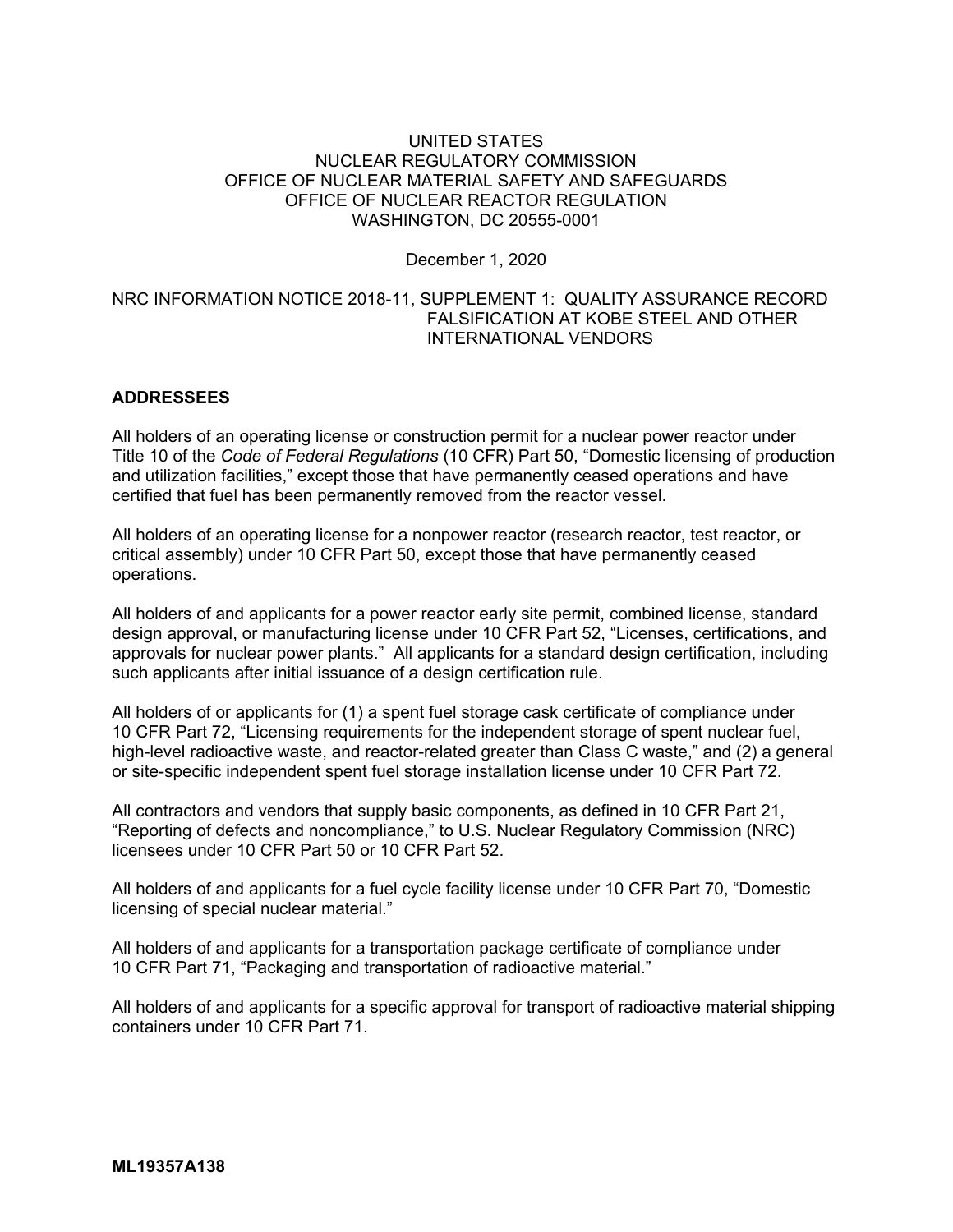## UNITED STATES NUCLEAR REGULATORY COMMISSION OFFICE OF NUCLEAR MATERIAL SAFETY AND SAFEGUARDS OFFICE OF NUCLEAR REACTOR REGULATION WASHINGTON, DC 20555-0001

December 1, 2020

## NRC INFORMATION NOTICE 2018-11, SUPPLEMENT 1: QUALITY ASSURANCE RECORD FALSIFICATION AT KOBE STEEL AND OTHER INTERNATIONAL VENDORS

## **ADDRESSEES**

All holders of an operating license or construction permit for a nuclear power reactor under Title 10 of the *Code of Federal Regulations* (10 CFR) Part 50, "Domestic licensing of production and utilization facilities," except those that have permanently ceased operations and have certified that fuel has been permanently removed from the reactor vessel.

All holders of an operating license for a nonpower reactor (research reactor, test reactor, or critical assembly) under 10 CFR Part 50, except those that have permanently ceased operations.

All holders of and applicants for a power reactor early site permit, combined license, standard design approval, or manufacturing license under 10 CFR Part 52, "Licenses, certifications, and approvals for nuclear power plants." All applicants for a standard design certification, including such applicants after initial issuance of a design certification rule.

All holders of or applicants for (1) a spent fuel storage cask certificate of compliance under 10 CFR Part 72, "Licensing requirements for the independent storage of spent nuclear fuel, high-level radioactive waste, and reactor-related greater than Class C waste," and (2) a general or site-specific independent spent fuel storage installation license under 10 CFR Part 72.

All contractors and vendors that supply basic components, as defined in 10 CFR Part 21, "Reporting of defects and noncompliance," to U.S. Nuclear Regulatory Commission (NRC) licensees under 10 CFR Part 50 or 10 CFR Part 52.

All holders of and applicants for a fuel cycle facility license under 10 CFR Part 70, "Domestic licensing of special nuclear material."

All holders of and applicants for a transportation package certificate of compliance under 10 CFR Part 71, "Packaging and transportation of radioactive material."

All holders of and applicants for a specific approval for transport of radioactive material shipping containers under 10 CFR Part 71.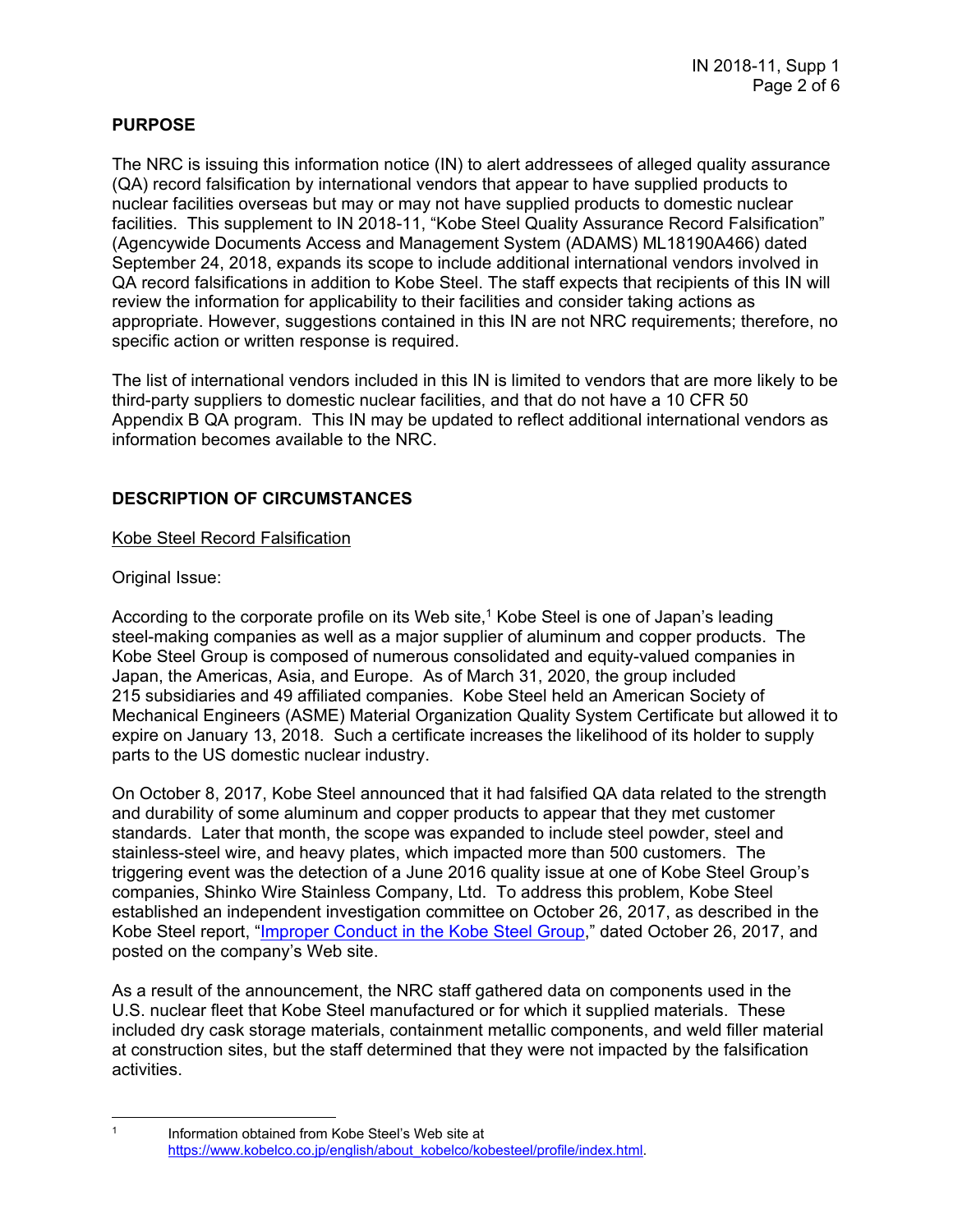# **PURPOSE**

The NRC is issuing this information notice (IN) to alert addressees of alleged quality assurance (QA) record falsification by international vendors that appear to have supplied products to nuclear facilities overseas but may or may not have supplied products to domestic nuclear facilities. This supplement to IN 2018-11, "Kobe Steel Quality Assurance Record Falsification" (Agencywide Documents Access and Management System (ADAMS) ML18190A466) dated September 24, 2018, expands its scope to include additional international vendors involved in QA record falsifications in addition to Kobe Steel. The staff expects that recipients of this IN will review the information for applicability to their facilities and consider taking actions as appropriate. However, suggestions contained in this IN are not NRC requirements; therefore, no specific action or written response is required.

The list of international vendors included in this IN is limited to vendors that are more likely to be third-party suppliers to domestic nuclear facilities, and that do not have a 10 CFR 50 Appendix B QA program. This IN may be updated to reflect additional international vendors as information becomes available to the NRC.

# **DESCRIPTION OF CIRCUMSTANCES**

## Kobe Steel Record Falsification

## Original Issue:

According to the corporate profile on its Web site, $1$  Kobe Steel is one of Japan's leading steel-making companies as well as a major supplier of aluminum and copper products. The Kobe Steel Group is composed of numerous consolidated and equity-valued companies in Japan, the Americas, Asia, and Europe. As of March 31, 2020, the group included 215 subsidiaries and 49 affiliated companies. Kobe Steel held an American Society of Mechanical Engineers (ASME) Material Organization Quality System Certificate but allowed it to expire on January 13, 2018. Such a certificate increases the likelihood of its holder to supply parts to the US domestic nuclear industry.

On October 8, 2017, Kobe Steel announced that it had falsified QA data related to the strength and durability of some aluminum and copper products to appear that they met customer standards. Later that month, the scope was expanded to include steel powder, steel and stainless-steel wire, and heavy plates, which impacted more than 500 customers. The triggering event was the detection of a June 2016 quality issue at one of Kobe Steel Group's companies, Shinko Wire Stainless Company, Ltd. To address this problem, Kobe Steel established an independent investigation committee on October 26, 2017, as described in the Kobe Steel report, "Improper Conduct in the Kobe Steel Group," dated October 26, 2017, and posted on the company's Web site.

As a result of the announcement, the NRC staff gathered data on components used in the U.S. nuclear fleet that Kobe Steel manufactured or for which it supplied materials. These included dry cask storage materials, containment metallic components, and weld filler material at construction sites, but the staff determined that they were not impacted by the falsification activities.

 $\overline{a}$ 

<sup>&</sup>lt;sup>1</sup> Information obtained from Kobe Steel's Web site at https://www.kobelco.co.jp/english/about\_kobelco/kobesteel/profile/index.html.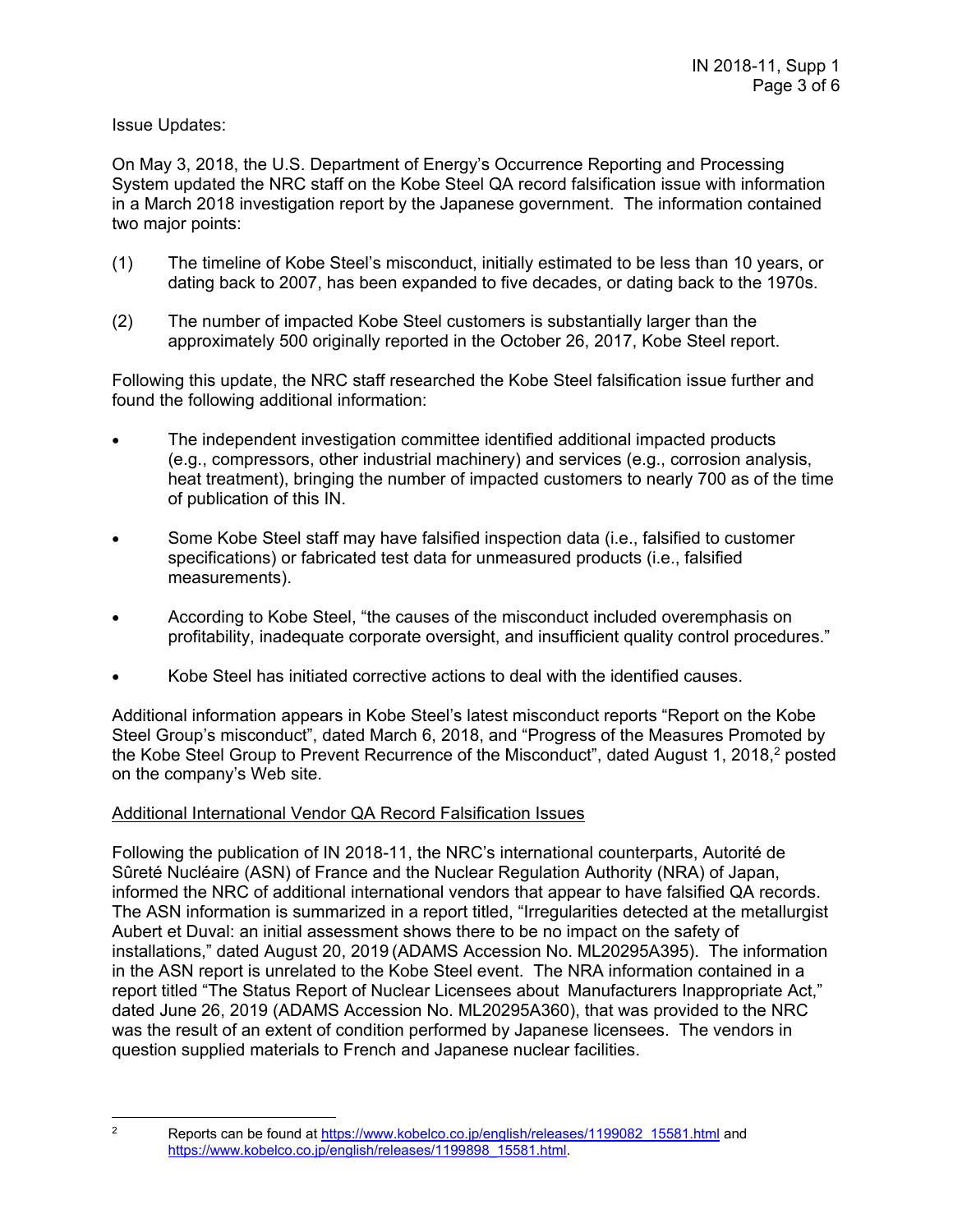Issue Updates:

On May 3, 2018, the U.S. Department of Energy's Occurrence Reporting and Processing System updated the NRC staff on the Kobe Steel QA record falsification issue with information in a March 2018 investigation report by the Japanese government. The information contained two major points:

- (1) The timeline of Kobe Steel's misconduct, initially estimated to be less than 10 years, or dating back to 2007, has been expanded to five decades, or dating back to the 1970s.
- (2) The number of impacted Kobe Steel customers is substantially larger than the approximately 500 originally reported in the October 26, 2017, Kobe Steel report.

Following this update, the NRC staff researched the Kobe Steel falsification issue further and found the following additional information:

- The independent investigation committee identified additional impacted products (e.g., compressors, other industrial machinery) and services (e.g., corrosion analysis, heat treatment), bringing the number of impacted customers to nearly 700 as of the time of publication of this IN.
- Some Kobe Steel staff may have falsified inspection data (i.e., falsified to customer specifications) or fabricated test data for unmeasured products (i.e., falsified measurements).
- According to Kobe Steel, "the causes of the misconduct included overemphasis on profitability, inadequate corporate oversight, and insufficient quality control procedures."
- Kobe Steel has initiated corrective actions to deal with the identified causes.

Additional information appears in Kobe Steel's latest misconduct reports "Report on the Kobe Steel Group's misconduct", dated March 6, 2018, and "Progress of the Measures Promoted by the Kobe Steel Group to Prevent Recurrence of the Misconduct", dated August 1, 2018,2 posted on the company's Web site.

## Additional International Vendor QA Record Falsification Issues

Following the publication of IN 2018-11, the NRC's international counterparts, Autorité de Sûreté Nucléaire (ASN) of France and the Nuclear Regulation Authority (NRA) of Japan, informed the NRC of additional international vendors that appear to have falsified QA records. The ASN information is summarized in a report titled, "Irregularities detected at the metallurgist Aubert et Duval: an initial assessment shows there to be no impact on the safety of installations," dated August 20, 2019 (ADAMS Accession No. ML20295A395). The information in the ASN report is unrelated to the Kobe Steel event. The NRA information contained in a report titled "The Status Report of Nuclear Licensees about Manufacturers Inappropriate Act," dated June 26, 2019 (ADAMS Accession No. ML20295A360), that was provided to the NRC was the result of an extent of condition performed by Japanese licensees. The vendors in question supplied materials to French and Japanese nuclear facilities.

 $\overline{2}$ 

Reports can be found at https://www.kobelco.co.jp/english/releases/1199082\_15581.html and https://www.kobelco.co.jp/english/releases/1199898\_15581.html.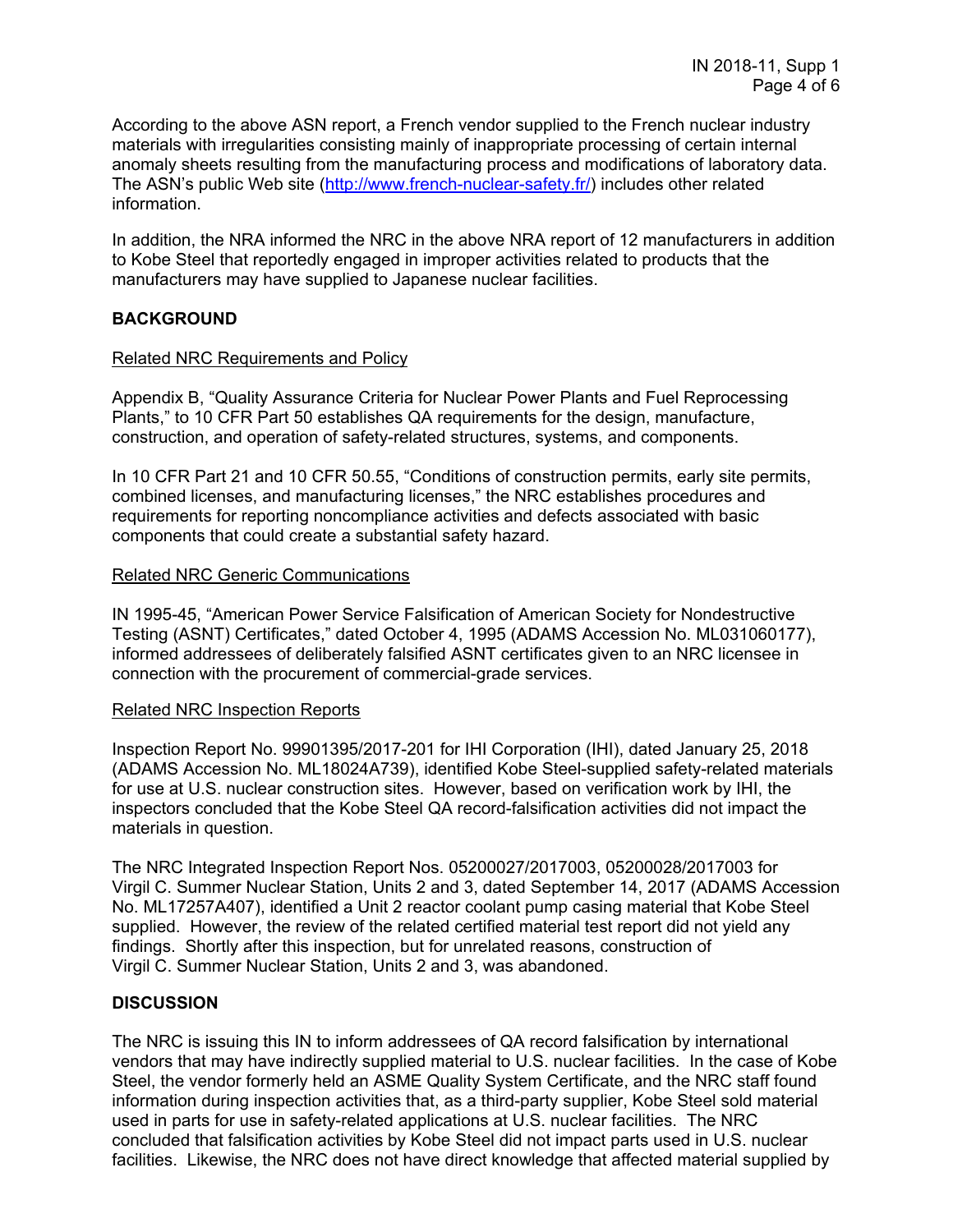According to the above ASN report, a French vendor supplied to the French nuclear industry materials with irregularities consisting mainly of inappropriate processing of certain internal anomaly sheets resulting from the manufacturing process and modifications of laboratory data. The ASN's public Web site (http://www.french-nuclear-safety.fr/) includes other related information.

In addition, the NRA informed the NRC in the above NRA report of 12 manufacturers in addition to Kobe Steel that reportedly engaged in improper activities related to products that the manufacturers may have supplied to Japanese nuclear facilities.

## **BACKGROUND**

### Related NRC Requirements and Policy

Appendix B, "Quality Assurance Criteria for Nuclear Power Plants and Fuel Reprocessing Plants," to 10 CFR Part 50 establishes QA requirements for the design, manufacture, construction, and operation of safety-related structures, systems, and components.

In 10 CFR Part 21 and 10 CFR 50.55, "Conditions of construction permits, early site permits, combined licenses, and manufacturing licenses," the NRC establishes procedures and requirements for reporting noncompliance activities and defects associated with basic components that could create a substantial safety hazard.

### Related NRC Generic Communications

IN 1995-45, "American Power Service Falsification of American Society for Nondestructive Testing (ASNT) Certificates," dated October 4, 1995 (ADAMS Accession No. ML031060177), informed addressees of deliberately falsified ASNT certificates given to an NRC licensee in connection with the procurement of commercial-grade services.

### Related NRC Inspection Reports

Inspection Report No. 99901395/2017-201 for IHI Corporation (IHI), dated January 25, 2018 (ADAMS Accession No. ML18024A739), identified Kobe Steel-supplied safety-related materials for use at U.S. nuclear construction sites. However, based on verification work by IHI, the inspectors concluded that the Kobe Steel QA record-falsification activities did not impact the materials in question.

The NRC Integrated Inspection Report Nos. 05200027/2017003, 05200028/2017003 for Virgil C. Summer Nuclear Station, Units 2 and 3, dated September 14, 2017 (ADAMS Accession No. ML17257A407), identified a Unit 2 reactor coolant pump casing material that Kobe Steel supplied. However, the review of the related certified material test report did not yield any findings. Shortly after this inspection, but for unrelated reasons, construction of Virgil C. Summer Nuclear Station, Units 2 and 3, was abandoned.

## **DISCUSSION**

The NRC is issuing this IN to inform addressees of QA record falsification by international vendors that may have indirectly supplied material to U.S. nuclear facilities. In the case of Kobe Steel, the vendor formerly held an ASME Quality System Certificate, and the NRC staff found information during inspection activities that, as a third-party supplier, Kobe Steel sold material used in parts for use in safety-related applications at U.S. nuclear facilities. The NRC concluded that falsification activities by Kobe Steel did not impact parts used in U.S. nuclear facilities. Likewise, the NRC does not have direct knowledge that affected material supplied by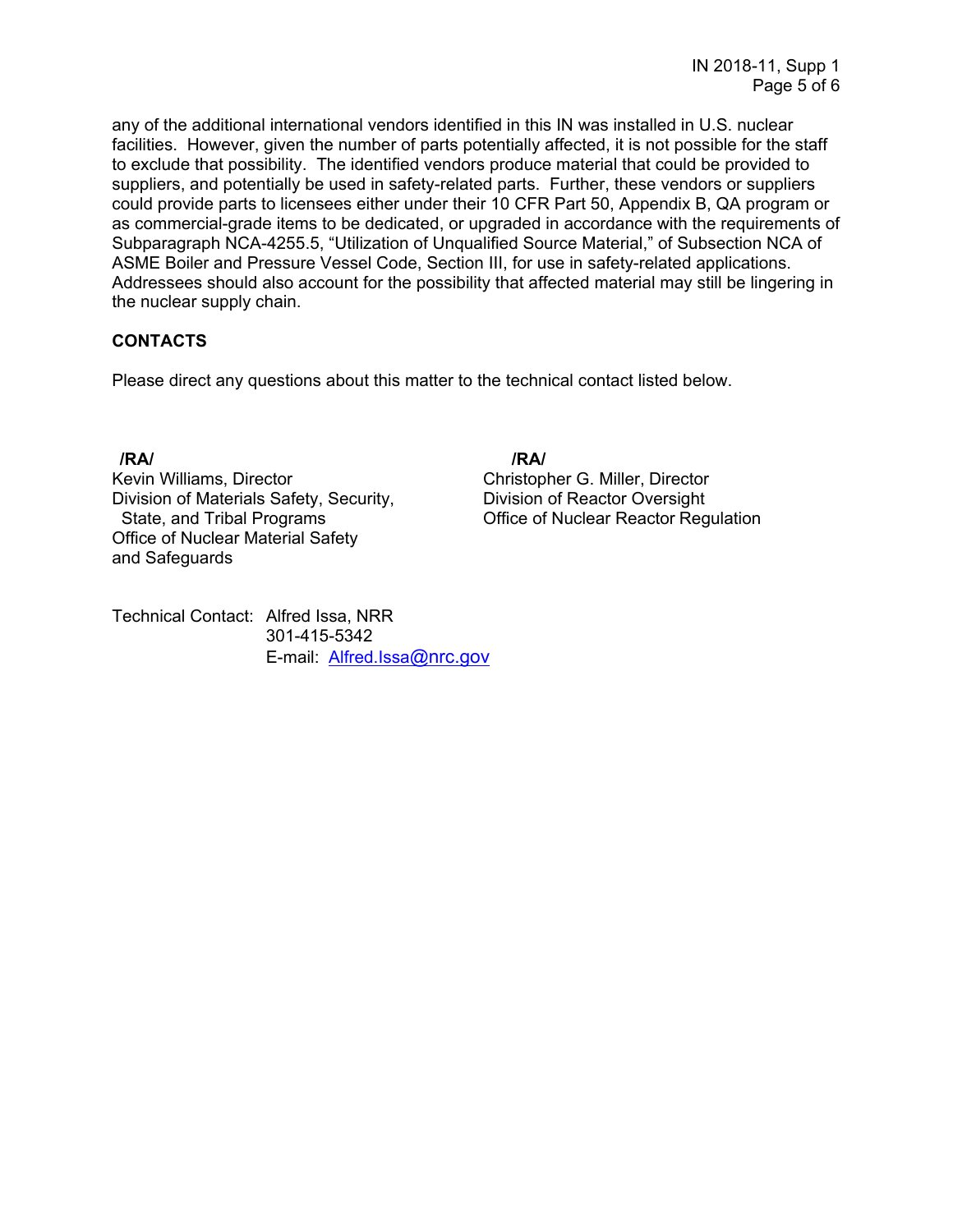any of the additional international vendors identified in this IN was installed in U.S. nuclear facilities. However, given the number of parts potentially affected, it is not possible for the staff to exclude that possibility. The identified vendors produce material that could be provided to suppliers, and potentially be used in safety-related parts. Further, these vendors or suppliers could provide parts to licensees either under their 10 CFR Part 50, Appendix B, QA program or as commercial-grade items to be dedicated, or upgraded in accordance with the requirements of Subparagraph NCA-4255.5, "Utilization of Unqualified Source Material," of Subsection NCA of ASME Boiler and Pressure Vessel Code, Section III, for use in safety-related applications. Addressees should also account for the possibility that affected material may still be lingering in the nuclear supply chain.

# **CONTACTS**

Please direct any questions about this matter to the technical contact listed below.

Kevin Williams, Director **Christopher G. Miller, Director** Christopher G. Miller, Director Division of Materials Safety, Security, **Division of Reactor Oversight** Office of Nuclear Material Safety and Safeguards

**/RA/ /RA/**  State, and Tribal Programs Office of Nuclear Reactor Regulation

Technical Contact: Alfred Issa, NRR 301-415-5342 E-mail: Alfred.Issa@nrc.gov